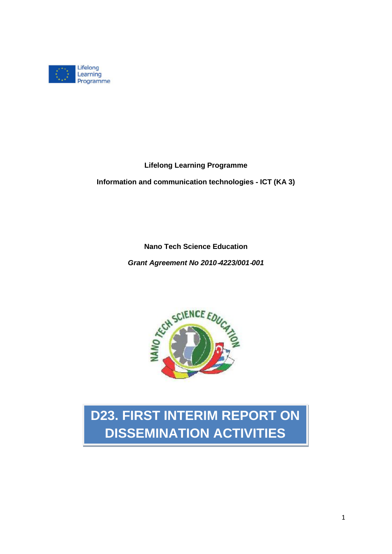

**Lifelong Learning Programme**

**Information and communication technologies** ‐ **ICT (KA 3)**

**Nano Tech Science Education**

*Grant Agreement No 2010*‐*4223/001*‐*001*



## **D23. FIRST INTERIM REPORT ON DISSEMINATION ACTIVITIES**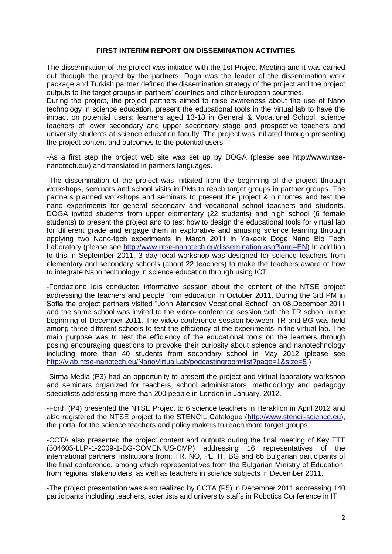## **FIRST INTERIM REPORT ON DISSEMINATION ACTIVITIES**

The dissemination of the project was initiated with the 1st Project Meeting and it was carried out through the project by the partners. Doga was the leader of the dissemination work package and Turkish partner defined the dissemination strategy of the project and the project outputs to the target groups in partners' countries and other European countries.

During the project, the project partners aimed to raise awareness about the use of Nano technology in science education, present the educational tools in the virtual lab to have the impact on potential users: learners aged 13-18 in General & Vocational School, science teachers of lower secondary and upper secondary stage and prospective teachers and university students at science education faculty. The project was initiated through presenting the project content and outcomes to the potential users.

-As a first step the project web site was set up by DOGA (please see http://www.ntsenanotech.eu/) and translated in partners languages.

-The dissemination of the project was initiated from the beginning of the project through workshops, seminars and school visits in PMs to reach target groups in partner groups. The partners planned workshops and seminars to present the project & outcomes and test the nano experiments for general secondary and vocational school teachers and students. DOGA invited students from upper elementary (22 students) and high school (6 female students) to present the project and to test how to design the educational tools for virtual lab for different grade and engage them in explorative and amusing science learning through applying two Nano-tech experiments in March 2011 in Yakacık Doga Nano Bio Tech Laboratory (please see [http://www.ntse-nanotech.eu/dissemination.asp?lang=EN\)](http://www.ntse-nanotech.eu/dissemination.asp?lang=EN) In addition to this in September 2011, 3 day local workshop was designed for science teachers from elementary and secondary schools (about 22 teachers) to make the teachers aware of how to integrate Nano technology in science education through using ICT.

-Fondazione Idis conducted informative session about the content of the NTSE project addressing the teachers and people from education in October 2011. During the 3rd PM in Sofia the project partners visited "John Atanasov Vocational School" on 08.December 2011 and the same school was invited to the video- conference session with the TR school in the beginning of December 2011. The video conference session between TR and BG was held among three different schools to test the efficiency of the experiments in the virtual lab. The main purpose was to test the efficiency of the educational tools on the learners through posing encouraging questions to provoke their curiosity about science and nanotechnology including more than 40 students from secondary school in May 2012 (please see <http://vlab.ntse-nanotech.eu/NanoVirtualLab/podcastingroom/list?page=1&size=5>)

-Sirma Media (P3) had an opportunity to present the project and virtual laboratory workshop and seminars organized for teachers, school administrators, methodology and pedagogy specialists addressing more than 200 people in London in January, 2012.

-Forth (P4) presented the NTSE Project to 6 science teachers in Heraklion in April 2012 and also registered the NTSE project to the STENCIL Catalogue [\(http://www.stencil-science.eu\)](http://www.stencil-science.eu/), the portal for the science teachers and policy makers to reach more target groups.

-CCTA also presented the project content and outputs during the final meeting of Key TTT (504605-LLP-1-2009-1-BG-COMENIUS-CMP) addressing 16 representatives of the international partners' institutions from: TR, NO, PL, IT, BG and 86 Bulgarian participants of the final conference, among which representatives from the Bulgarian Ministry of Education, from regional stakeholders, as well as teachers in science subjects in December 2011.

-The project presentation was also realized by CCTA (P5) in December 2011 addressing 140 participants including teachers, scientists and university staffs in Robotics Conference in IT.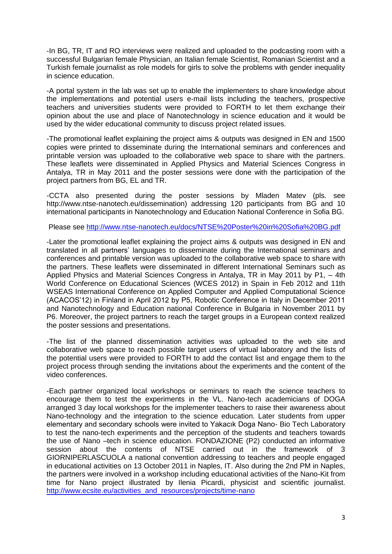-In BG, TR, IT and RO interviews were realized and uploaded to the podcasting room with a successful Bulgarian female Physician, an Italian female Scientist, Romanian Scientist and a Turkish female journalist as role models for girls to solve the problems with gender inequality in science education.

-A portal system in the lab was set up to enable the implementers to share knowledge about the implementations and potential users e-mail lists including the teachers, prospective teachers and universities students were provided to FORTH to let them exchange their opinion about the use and place of Nanotechnology in science education and it would be used by the wider educational community to discuss project related issues.

-The promotional leaflet explaining the project aims & outputs was designed in EN and 1500 copies were printed to disseminate during the International seminars and conferences and printable version was uploaded to the collaborative web space to share with the partners. These leaflets were disseminated in Applied Physics and Material Sciences Congress in Antalya, TR in May 2011 and the poster sessions were done with the participation of the project partners from BG, EL and TR.

-CCTA also presented during the poster sessions by Mladen Matev (pls. see http://www.ntse-nanotech.eu/dissemination) addressing 120 participants from BG and 10 international participants in Nanotechnology and Education National Conference in Sofia BG.

Please see<http://www.ntse-nanotech.eu/docs/NTSE%20Poster%20in%20Sofia%20BG.pdf>

-Later the promotional leaflet explaining the project aims & outputs was designed in EN and translated in all partners' languages to disseminate during the International seminars and conferences and printable version was uploaded to the collaborative web space to share with the partners. These leaflets were disseminated in different International Seminars such as Applied Physics and Material Sciences Congress in Antalya, TR in May 2011 by P1, – 4th World Conference on Educational Sciences (WCES 2012) in Spain in Feb 2012 and 11th WSEAS International Conference on Applied Computer and Applied Computational Science (ACACOS'12) in Finland in April 2012 by P5, Robotic Conference in Italy in December 2011 and Nanotechnology and Education national Conference in Bulgaria in November 2011 by P6. Moreover, the project partners to reach the target groups in a European context realized the poster sessions and presentations.

-The list of the planned dissemination activities was uploaded to the web site and collaborative web space to reach possible target users of virtual laboratory and the lists of the potential users were provided to FORTH to add the contact list and engage them to the project process through sending the invitations about the experiments and the content of the video conferences.

-Each partner organized local workshops or seminars to reach the science teachers to encourage them to test the experiments in the VL. Nano-tech academicians of DOGA arranged 3 day local workshops for the implementer teachers to raise their awareness about Nano-technology and the integration to the science education. Later students from upper elementary and secondary schools were invited to Yakacık Doga Nano- Bio Tech Laboratory to test the nano-tech experiments and the perception of the students and teachers towards the use of Nano –tech in science education. FONDAZIONE (P2) conducted an informative session about the contents of NTSE carried out in the framework of 3 GIORNIPERLASCUOLA a national convention addressing to teachers and people engaged in educational activities on 13 October 2011 in Naples, IT. Also during the 2nd PM in Naples, the partners were involved in a workshop including educational activities of the Nano-Kit from time for Nano project illustrated by Ilenia Picardi, physicist and scientific journalist. [http://www.ecsite.eu/activities\\_and\\_resources/projects/time-nano](http://www.ecsite.eu/activities_and_resources/projects/time-nano)